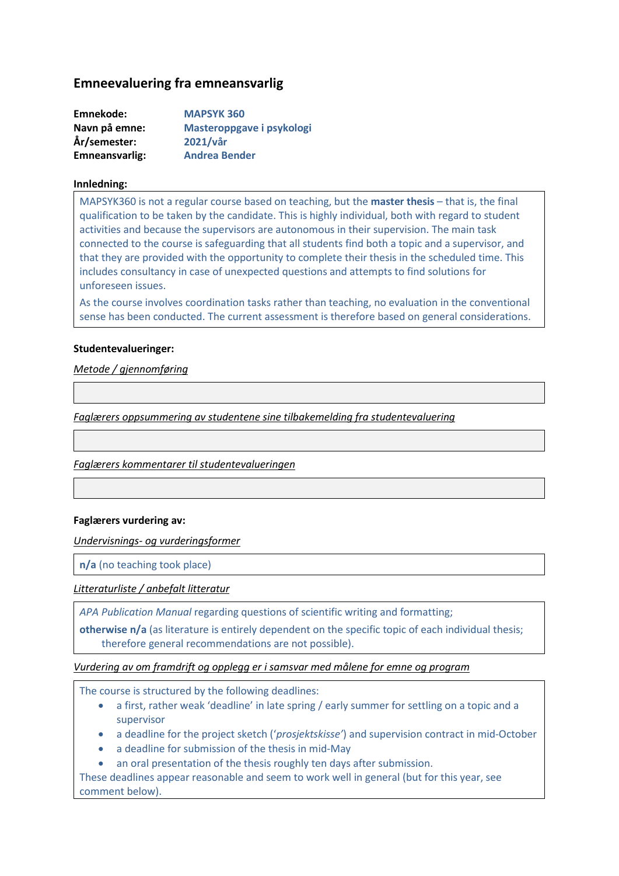# **Emneevaluering fra emneansvarlig**

| Emnekode:      | <b>MAPSYK 360</b>         |
|----------------|---------------------------|
| Navn på emne:  | Masteroppgave i psykologi |
| År/semester:   | 2021/vår                  |
| Emneansvarlig: | <b>Andrea Bender</b>      |

#### **Innledning:**

MAPSYK360 is not a regular course based on teaching, but the **master thesis** – that is, the final qualification to be taken by the candidate. This is highly individual, both with regard to student activities and because the supervisors are autonomous in their supervision. The main task connected to the course is safeguarding that all students find both a topic and a supervisor, and that they are provided with the opportunity to complete their thesis in the scheduled time. This includes consultancy in case of unexpected questions and attempts to find solutions for unforeseen issues.

As the course involves coordination tasks rather than teaching, no evaluation in the conventional sense has been conducted. The current assessment is therefore based on general considerations.

#### **Studentevalueringer:**

*Metode / gjennomføring*

*Faglærers oppsummering av studentene sine tilbakemelding fra studentevaluering*

*Faglærers kommentarer til studentevalueringen*

#### **Faglærers vurdering av:**

*Undervisnings- og vurderingsformer*

**n/a** (no teaching took place)

*Litteraturliste / anbefalt litteratur*

*APA Publication Manual* regarding questions of scientific writing and formatting;

**otherwise n/a** (as literature is entirely dependent on the specific topic of each individual thesis; therefore general recommendations are not possible).

#### *Vurdering av om framdrift og opplegg er i samsvar med målene for emne og program*

The course is structured by the following deadlines:

- a first, rather weak 'deadline' in late spring / early summer for settling on a topic and a supervisor
- a deadline for the project sketch ('*prosjektskisse'*) and supervision contract in mid-October
- a deadline for submission of the thesis in mid-May
- an oral presentation of the thesis roughly ten days after submission.

These deadlines appear reasonable and seem to work well in general (but for this year, see comment below).